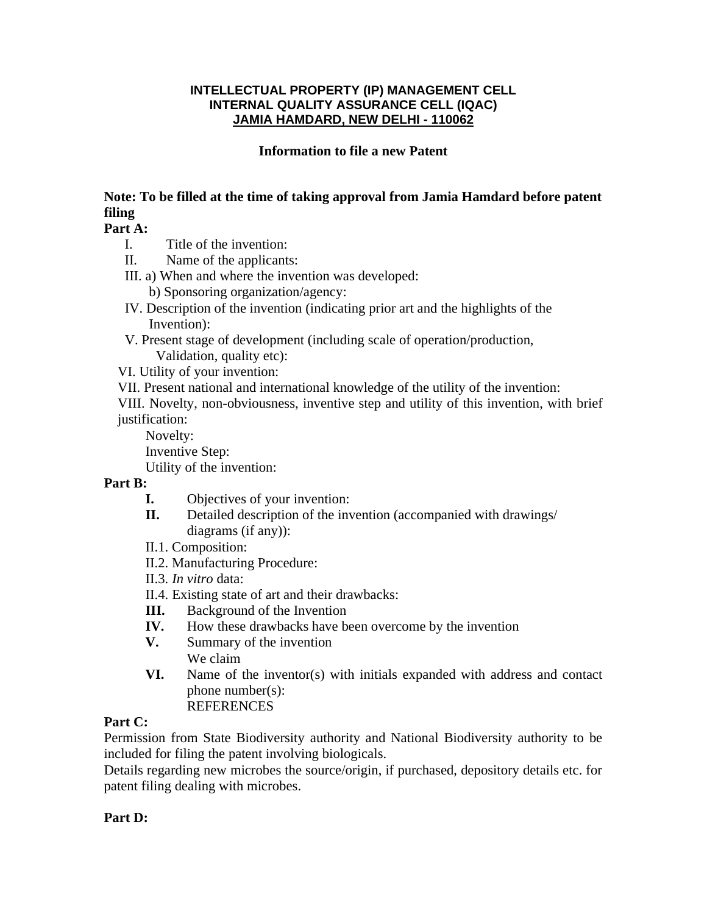#### **INTELLECTUAL PROPERTY (IP) MANAGEMENT CELL INTERNAL QUALITY ASSURANCE CELL (IQAC) JAMIA HAMDARD, NEW DELHI - 110062**

#### **Information to file a new Patent**

### **Note: To be filled at the time of taking approval from Jamia Hamdard before patent filing**

#### **Part A:**

- I. Title of the invention:
- II. Name of the applicants:
- III. a) When and where the invention was developed:
	- b) Sponsoring organization/agency:
- IV. Description of the invention (indicating prior art and the highlights of the Invention):
- V. Present stage of development (including scale of operation/production, Validation, quality etc):
- VI. Utility of your invention:
- VII. Present national and international knowledge of the utility of the invention:

VIII. Novelty, non-obviousness, inventive step and utility of this invention, with brief justification:

Novelty:

Inventive Step:

Utility of the invention:

#### **Part B:**

- **I.** Objectives of your invention:
- **II.** Detailed description of the invention (accompanied with drawings/ diagrams (if any)):
- II.1. Composition:
- II.2. Manufacturing Procedure:
- II.3. *In vitro* data:
- II.4. Existing state of art and their drawbacks:
- **III.** Background of the Invention
- **IV.** How these drawbacks have been overcome by the invention
- **V.** Summary of the invention We claim
- **VI.** Name of the inventor(s) with initials expanded with address and contact phone number(s): **REFERENCES**

#### **Part C:**

Permission from State Biodiversity authority and National Biodiversity authority to be included for filing the patent involving biologicals.

Details regarding new microbes the source/origin, if purchased, depository details etc. for patent filing dealing with microbes.

#### **Part D:**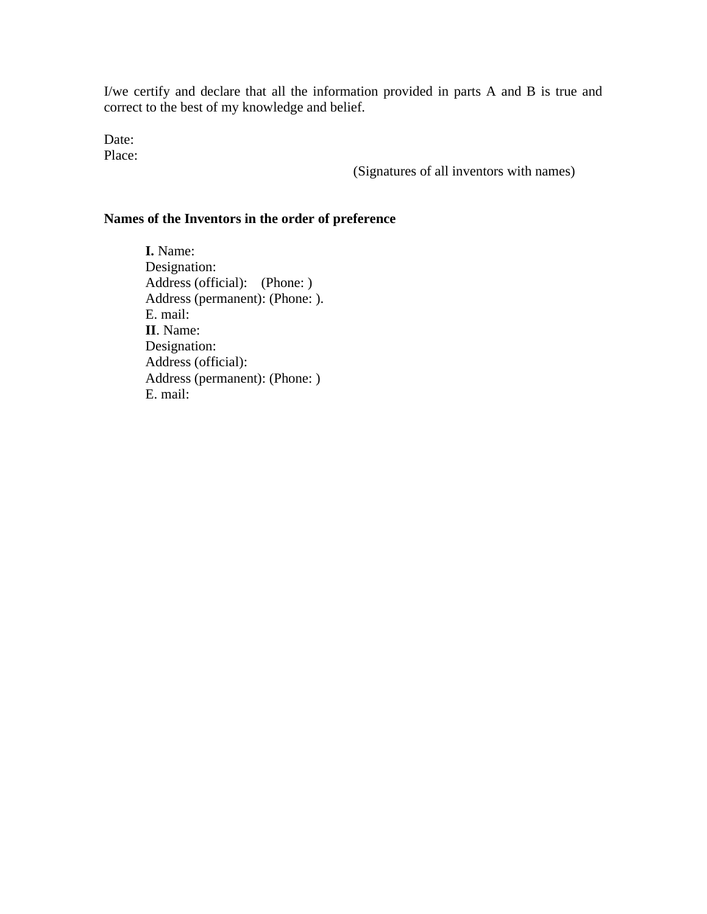I/we certify and declare that all the information provided in parts A and B is true and correct to the best of my knowledge and belief.

Date: Place:

(Signatures of all inventors with names)

#### **Names of the Inventors in the order of preference**

**I.** Name: Designation: Address (official): (Phone: ) Address (permanent): (Phone: ). E. mail: **II**. Name: Designation: Address (official): Address (permanent): (Phone: ) E. mail: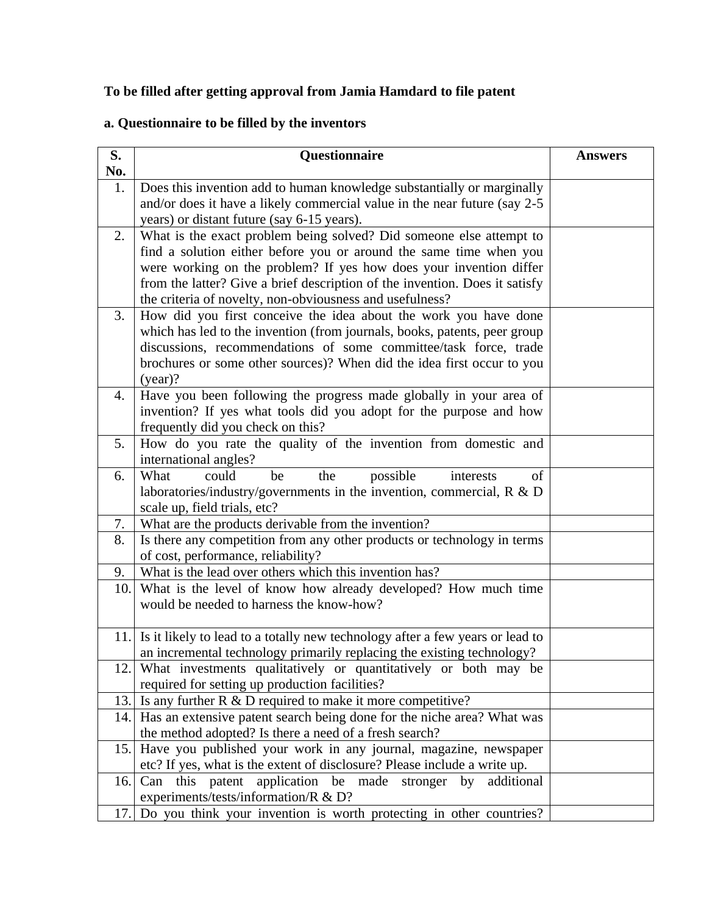## **To be filled after getting approval from Jamia Hamdard to file patent**

# **a. Questionnaire to be filled by the inventors**

| S.        | Questionnaire                                                                                                                           | <b>Answers</b> |
|-----------|-----------------------------------------------------------------------------------------------------------------------------------------|----------------|
| No.<br>1. | Does this invention add to human knowledge substantially or marginally                                                                  |                |
|           | and/or does it have a likely commercial value in the near future (say 2-5                                                               |                |
|           | years) or distant future (say 6-15 years).                                                                                              |                |
| 2.        | What is the exact problem being solved? Did someone else attempt to                                                                     |                |
|           | find a solution either before you or around the same time when you                                                                      |                |
|           | were working on the problem? If yes how does your invention differ                                                                      |                |
|           | from the latter? Give a brief description of the invention. Does it satisfy<br>the criteria of novelty, non-obviousness and usefulness? |                |
| 3.        | How did you first conceive the idea about the work you have done                                                                        |                |
|           | which has led to the invention (from journals, books, patents, peer group                                                               |                |
|           | discussions, recommendations of some committee/task force, trade                                                                        |                |
|           | brochures or some other sources)? When did the idea first occur to you                                                                  |                |
|           | $(year)$ ?                                                                                                                              |                |
| 4.        | Have you been following the progress made globally in your area of                                                                      |                |
|           | invention? If yes what tools did you adopt for the purpose and how<br>frequently did you check on this?                                 |                |
| 5.        | How do you rate the quality of the invention from domestic and                                                                          |                |
|           | international angles?                                                                                                                   |                |
| 6.        | possible<br>could<br>the<br>What<br>be<br>interests<br>of                                                                               |                |
|           | laboratories/industry/governments in the invention, commercial, $R \& D$                                                                |                |
|           | scale up, field trials, etc?                                                                                                            |                |
| 7.        | What are the products derivable from the invention?                                                                                     |                |
| 8.        | Is there any competition from any other products or technology in terms<br>of cost, performance, reliability?                           |                |
| 9.        | What is the lead over others which this invention has?                                                                                  |                |
| 10.       | What is the level of know how already developed? How much time                                                                          |                |
|           | would be needed to harness the know-how?                                                                                                |                |
|           |                                                                                                                                         |                |
| 11.       | Is it likely to lead to a totally new technology after a few years or lead to                                                           |                |
|           | an incremental technology primarily replacing the existing technology?                                                                  |                |
| 12.       | What investments qualitatively or quantitatively or both may be<br>required for setting up production facilities?                       |                |
| 13.       | Is any further $R \& D$ required to make it more competitive?                                                                           |                |
|           | 14. Has an extensive patent search being done for the niche area? What was                                                              |                |
|           | the method adopted? Is there a need of a fresh search?                                                                                  |                |
| 15.       | Have you published your work in any journal, magazine, newspaper                                                                        |                |
|           | etc? If yes, what is the extent of disclosure? Please include a write up.                                                               |                |
| 16.       | application be made stronger by<br>Can this patent<br>additional<br>experiments/tests/information/R & D?                                |                |
| 17.       | Do you think your invention is worth protecting in other countries?                                                                     |                |